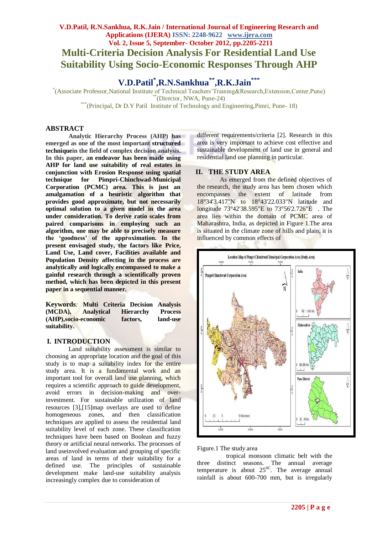## **V.D.Patil, R.N.Sankhua, R.K.Jain / International Journal of Engineering Research and Applications (IJERA) ISSN: 2248-9622 www.ijera.com Vol. 2, Issue 5, September- October 2012, pp.2205-2211 Multi-Criteria Decision Analysis For Residential Land Use Suitability Using Socio-Economic Responses Through AHP**

# **V.D.Patil\* ,R.N.Sankhua\*\*,R.K.Jain\*\*\***

\* (Associate Professor,National Institute of Technical Teachers'Training&Research,Extension,Center,Pune)  $*$ (Director, NWA, Pune-24)

\*\*\*(Principal, Dr D.Y Patil Institute of Technology and Engineering, Pimri, Pune-18)

### **ABSTRACT**

**Analytic Hierarchy Process (AHP) has emerged as one of the most important structured techniquein the field of complex decision analysis. In this paper, an endeavor has been made using AHP for land use suitability of real estates in conjunction with Erosion Response using spatial technique for Pimpri-Chinchwad-Municipal Corporation (PCMC) area. This is just an amalgamation of a heuristic algorithm that provides good approximate, but not necessarily optimal solution to a given model in the area under consideration. To derive ratio scales from paired comparisons in employing such an algorithm, one may be able to precisely measure the 'goodness' of the approximation. In the present envisaged study, the factors like Price, Land Use, Land cover, Facilities available and Population Density affecting in the process are analytically and logically encompassed to make a gainful research through a scientifically proven method, which has been depicted in this present paper in a sequential manner.**

**Keywords***:* **Multi Criteria Decision Analysis (MCDA), Analytical Hierarchy Process (AHP),socio-economic factors, land-use suitability.**

### **I. INTRODUCTION**

Land suitability assessment is similar to choosing an appropriate location and the goal of this study is to map a suitability index for the entire study area. It is a fundamental work and an important tool for overall land use planning, which requires a scientific approach to guide development, avoid errors in decision-making and overinvestment. For sustainable utilization of land resources [3],[15]map overlays are used to define homogeneous zones, and then classification techniques are applied to assess the residential land suitability level of each zone. These classification techniques have been based on Boolean and fuzzy theory or artificial neural networks. The processes of land useinvolved evaluation and grouping of specific areas of land in terms of their suitability for a defined use. The principles of sustainable development make land-use suitability analysis increasingly complex due to consideration of

different requirements/criteria [2]. Research in this area is very important to achieve cost effective and sustainable development of land use in general and residential land use planning in particular.

### **II. THE STUDY AREA**

As emerged from the defined objectives of the research, the study area has been chosen which encompasses the extent of latitude from 18°34'3.417"N to 18°43'22.033"N latitude and longitude 73°42'38.595"E to 73°56'2.726"E . The area lies within the domain of PCMC area of Maharashtra, India, as depicted in Figure 1.The area is situated in the climate zone of hills and plain, it is influenced by common effects of



Figure.1 The study area

tropical monsoon climatic belt with the three distinct seasons. The annual average temperature is about  $25^{\circ}$ . The average annual rainfall is about 600-700 mm, but is irregularly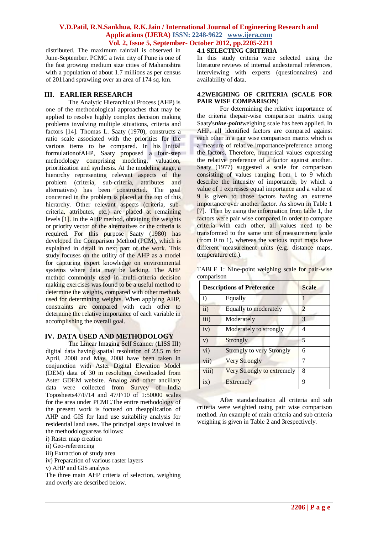distributed. The maximum rainfall is observed in June-September. PCMC a twin city of Pune is one of the fast growing medium size cities of Maharashtra with a population of about 1.7 millions as per census of 2011and sprawling over an area of 174 sq. km.

### **III. EARLIER RESEARCH**

The Analytic Hierarchical Process (AHP) is one of the methodological approaches that may be applied to resolve highly complex decision making problems involving multiple situations, criteria and factors [14]. Thomas L. Saaty (1970), constructs a ratio scale associated with the priorities for the various items to be compared. In his initial formulationofAHP, Saaty proposed a four-step methodology comprising modeling, valuation, prioritization and synthesis. At the modeling stage, a hierarchy representing relevant aspects of the problem (criteria, sub-criteria, attributes and alternatives) has been constructed. The goal concerned in the problem is placed at the top of this hierarchy. Other relevant aspects (criteria, subcriteria, attributes, etc.) are placed at remaining levels [1]. In the AHP method, obtaining the weights or priority vector of the alternatives or the criteria is required. For this purpose Saaty (1980) has developed the Comparison Method (PCM), which is explained in detail in next part of the work. This study focuses on the utility of the AHP as a model for capturing expert knowledge on environmental systems where data may be lacking. The AHP method commonly used in multi-criteria decision making exercises was found to be a useful method to determine the weights, compared with other methods used for determining weights. When applying AHP, constraints are compared with each other to determine the relative importance of each variable in accomplishing the overall goal.

### **IV. DATA USED AND METHODOLOGY**

The Linear Imaging Self Scanner (LISS III) digital data having spatial resolution of 23.5 m for April, 2008 and May, 2008 have been taken in conjunction with Aster Digital Elevation Model (DEM) data of 30 m resolution downloaded from Aster GDEM website. Analog and other ancillary data were collected from Survey of India Toposheets47/F/14 and 47/F/10 of 1:50000 scales for the area under PCMC.The entire methodology of the present work is focused on theapplication of AHP and GIS for land use suitability analysis for residential land uses. The principal steps involved in the methodologyareas follows:

- i) Raster map creation
- ii) Geo-referencing
- iii) Extraction of study area
- iv) Preparation of various raster layers
- v) AHP and GIS analysis

The three main AHP criteria of selection, weighing and overly are described below.

#### **4.1 SELECTING CRITERIA**

In this study criteria were selected using the literature reviews of internal andexternal references, interviewing with experts (questionnaires) and availability of data.

#### **4.2WEIGHING OF CRITERIA (SCALE FOR PAIR WISE COMPARISON**)

For determining the relative importance of the criteria thepair-wise comparison matrix using Saaty's*nine*-*point*weighing scale has been applied. In AHP, all identified factors are compared against each other in a pair wise comparison matrix which is a measure of relative importance/preference among the factors. Therefore, numerical values expressing the relative preference of a factor against another. Saaty (1977) suggested a scale for comparison consisting of values ranging from 1 to 9 which describe the intensity of importance, by which a value of 1 expresses equal importance and a value of 9 is given to those factors having an extreme importance over another factor. As shown in Table 1 [7]. Then by using the information from table 1, the factors were pair wise compared.In order to compare criteria with each other, all values need to be transformed to the same unit of measurement scale (from 0 to 1), whereas the various input maps have different measurement units (e.g. distance maps, temperature etc.).

TABLE 1: Nine-point weighing scale for pair-wise comparison

|                  | <b>Descriptions of Preference</b> | <b>Scale</b> |
|------------------|-----------------------------------|--------------|
| $\mathbf{i}$     | Equally                           |              |
| ii)              | Equally to moderately             | 2            |
| iii)             | Moderately                        | 3            |
| iv)              | Moderately to strongly            | 4            |
| V)               | Strongly                          | 5            |
| $\overline{vi})$ | <b>Strongly to very Strongly</b>  | 6            |
| vii)             | <b>Very Strongly</b>              | 7            |
| viii)            | Very Strongly to extremely        | 8            |
| ix)              | Extremely                         | 9            |

After standardization all criteria and sub criteria were weighted using pair wise comparison method. An example of main criteria and sub criteria weighing is given in Table 2 and 3respectively.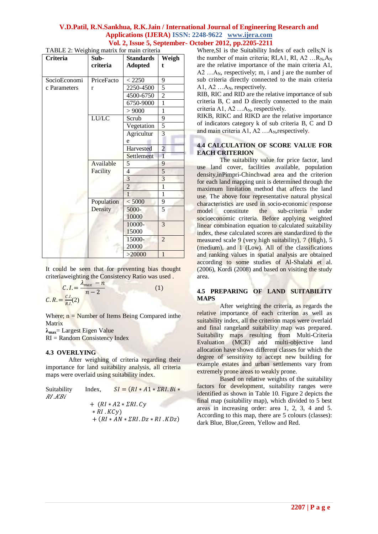TABLE 2: Weighing matrix for main criteria

| <b>Criteria</b> | Sub-       | <b>Standards</b> | Weigh          |
|-----------------|------------|------------------|----------------|
|                 | criteria   | <b>Adopted</b>   | $\mathbf t$    |
|                 |            |                  |                |
| SocioEconomi    | PriceFacto | < 2250           | 9              |
| c Parameters    | r          | 2250-4500        | 5              |
|                 |            | 4500-6750        | 2              |
|                 |            | 6750-9000        | $\overline{1}$ |
|                 |            | > 9000           | $\mathbf{1}$   |
|                 | LU/LC      | Scrub            | 9              |
|                 |            | Vegetation       | 5              |
|                 |            | Agricultur       | 3              |
|                 |            | e                |                |
|                 |            | Harvested        | $\overline{2}$ |
|                 |            | Settlement       | $\overline{1}$ |
|                 | Available  | 5                | 9              |
|                 | Facility   | 4                | 5              |
|                 |            | 3                | $\overline{3}$ |
|                 |            | $\overline{2}$   | $\overline{1}$ |
|                 |            | $\overline{1}$   | $\mathbf{1}$   |
|                 | Population | < 5000           | 9              |
|                 | Density    | 5000-            | 5              |
|                 |            | 10000            |                |
|                 |            | 10000-           | 3              |
|                 |            | 15000            |                |
|                 |            | 15000-           | $\overline{2}$ |
|                 |            | 20000            |                |
|                 |            | >20000           | $\mathbf{1}$   |

It could be seen that for preventing bias thought criteriaweighting the Consistency Ratio was used .

$$
C. I. = \frac{\lambda_{max} - n}{n - 2}
$$
  
\n
$$
C. R. = \frac{C. I.}{R. I.}(2)
$$
\n(1)

Where;  $n =$  Number of Items Being Compared in the Matrix

**λmax**= Largest Eigen Value  $RI = Random Consistency Index$ 

#### **4.3 OVERLYING**

After weighing of criteria regarding their importance for land suitability analysis, all criteria maps were overlaid using suitability index.

| Suitability<br>RI .KBi | Index,          | $SI = (RI * A1 * \Sigma RI.Bi *$                                          |
|------------------------|-----------------|---------------------------------------------------------------------------|
|                        | $*$ RI . $KCv)$ | $+$ $(RI * A2 * \Sigma RI$ . $Cv$<br>$+(RI * AN * \Sigma RI.Dz * RI.KDz)$ |

Where, SI is the Suitability Index of each cells; N is the number of main criteria; RI, A1, RI, A2 ...  $R_N$ ,  $A_N$ are the relative importance of the main criteria A1,  $A2$  ... $A_N$ , respectively; m, i and j are the number of sub criteria directly connected to the main criteria A1, A2  $\ldots$  A<sub>N</sub>, respectively.

RIB, RIC and RID are the relative importance of sub criteria B, C and D directly connected to the main criteria A1, A2  $...$ A<sub>N</sub>, respectively.

RIKB, RIKC and RIKD are the relative importance of indicators category k of sub criteria B, C and D and main criteria  $A1$ ,  $A2$  ... $A_N$ , respectively.

### **4.4 CALCULATION OF SCORE VALUE FOR EACH CRITERION**

The suitability value for price factor, land use land cover, facilities available, population density,inPimpri-Chinchwad area and the criterion for each land mapping unit is determined through the maximum limitation method that affects the land use. The above four representative natural physical characteristics are used in socio-economic response<br>model constitute the sub-criteria under the sub-criteria under socioeconomic criteria. Before applying weighted linear combination equation to calculated suitability index, these calculated scores are standardized to the measured scale 9 (very high suitability), 7 (High), 5 (medium), and 1 (Low). All of the classifications and ranking values in spatial analysis are obtained according to some studies of Al-Shalabi et al. (2006), Kordi (2008) and based on visiting the study area.

### **4.5 PREPARING OF LAND SUITABILITY MAPS**

After weighting the criteria, as regards the relative importance of each criterion as well as suitability index, all the criterion maps were overlaid and final rangeland suitability map was prepared. Suitability maps resulting from Multi-Criteria Evaluation (MCE) and multi-objective land allocation have shown different classes for which the degree of sensitivity to accept new building for example estates and urban settlements vary from extremely prone areas to weakly prone.

Based on relative weights of the suitability factors for development, suitability ranges were identified as shown in Table 10. Figure 2 depicts the final map (suitability map), which divided to 5 best areas in increasing order: area 1, 2, 3, 4 and 5. According to this map, there are 5 colours (classes): dark Blue, Blue,Green, Yellow and Red.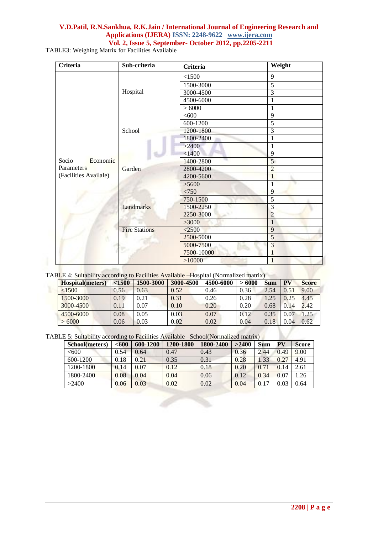TABLE3: Weighing Matrix for Facilities Available

| <b>Criteria</b>       | Sub-criteria         | <b>Criteria</b> | Weight          |
|-----------------------|----------------------|-----------------|-----------------|
|                       |                      | < 1500          | 9               |
|                       |                      | 1500-3000       | $\overline{5}$  |
|                       | Hospital             | 3000-4500       | $\overline{3}$  |
|                       |                      | 4500-6000       | 1               |
|                       |                      | > 6000          | 1               |
|                       |                      | <600            | 9               |
|                       |                      | 600-1200        | $\overline{5}$  |
|                       | School               | 1200-1800       | $\overline{3}$  |
|                       |                      | 1800-2400       | 1               |
|                       |                      | >2400           | $\mathbf{1}$    |
|                       | Garden               | < 1400          | $\overline{9}$  |
| Economic<br>Socio     |                      | 1400-2800       | $5\overline{)}$ |
| Parameters            |                      | 2800-4200       | $\overline{2}$  |
| (Facilities Availale) |                      | 4200-5600       | $\mathbf{1}$    |
|                       |                      | >5600           | $\mathbf{1}$    |
|                       |                      | < 750           | $\overline{9}$  |
|                       |                      | 750-1500        | $\overline{5}$  |
|                       | Landmarks            | 1500-2250       | 3               |
|                       |                      | 2250-3000       | $\overline{2}$  |
|                       |                      | >3000           | $\mathbf{1}$    |
|                       | <b>Fire Stations</b> | $<$ 2500        | $\overline{9}$  |
| ö                     |                      | 2500-5000       | 5               |
|                       |                      | 5000-7500       | $\overline{3}$  |
|                       |                      | 7500-10000      | $\overline{1}$  |
|                       |                      | >10000          | $\mathbf{1}$    |

| TABLE 4: Suitability according to Facilities Available -Hospital (Normalized matrix) |  |  |  |
|--------------------------------------------------------------------------------------|--|--|--|
|--------------------------------------------------------------------------------------|--|--|--|

| Hospital(meters) | < 1500   | 1500-3000 | 3000-4500 | 4500-6000 | >6000 | <b>Sum</b> | PV   | <b>Score</b> |
|------------------|----------|-----------|-----------|-----------|-------|------------|------|--------------|
| < 1500           | 0.56     | 0.63      | 0.52      | 0.46      | 0.36  | 2.54       | 0.51 | 9.00         |
| 1500-3000        | 0.19     | 0.21      | 0.31      | 0.26      | 0.28  | 1.25       | 0.25 | 4.45         |
| 3000-4500        | 0.11     | 0.07      | 0.10      | 0.20      | 0.20  | 0.68       | 0.14 | 2.42         |
| 4500-6000        | $0.08\,$ | 0.05      | 0.03      | 0.07      | 0.12  | 0.35       | 0.07 | 1.25         |
| $-6000$          | 0.06     | 0.03      | 0.02      | 0.02      | 0.04  | 0.18       | 0.04 | 0.62         |

TABLE 5: Suitability according to Facilities Available –School(Normalized matrix)

| School(meters) | <600 | 600-1200 | 1200-1800 | 1800-2400 | >2400 | <b>Sum</b> | PV   | <b>Score</b> |
|----------------|------|----------|-----------|-----------|-------|------------|------|--------------|
| <600           | 0.54 | 0.64     | 0.47      | 0.43      | 0.36  | 2.44       | 0.49 | 9.00         |
| $600 - 1200$   | 0.18 | 0.21     | 0.35      | 0.31      | 0.28  | .33        | 0.27 | 4.91         |
| 1200-1800      | 0.14 | 0.07     | 0.12      | 0.18      | 0.20  | 0.71       | .14  | 2.61         |
| 1800-2400      | 0.08 | 0.04     | 0.04      | 0.06      | 0.12  | 0.34       | 0.07 | 1.26         |
| >2400          | 0.06 | 0.03     | 0.02      | 0.02      | 0.04  | 0.17       | 0.03 | 0.64         |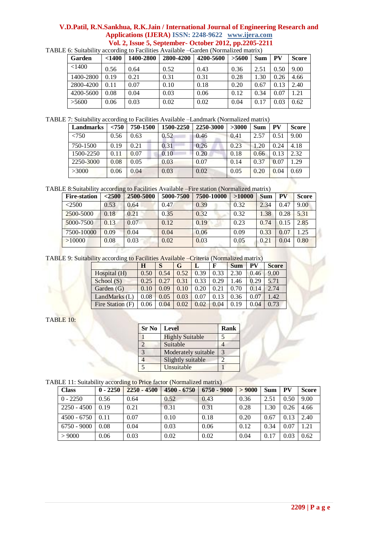| Garden    | $<$ 1400 | 1400-2800 | 2800-4200 | 4200-5600 | >5600 | Sum  | <b>PV</b> | <b>Score</b> |
|-----------|----------|-----------|-----------|-----------|-------|------|-----------|--------------|
| < 1400    | 0.56     | 0.64      | 0.52      | 0.43      | 0.36  | 2.51 | 0.50      | 9.00         |
| 1400-2800 | 0.19     | 0.21      | 0.31      | 0.31      | 0.28  | 1.30 | 0.26      | 4.66         |
| 2800-4200 | 0.11     | 0.07      | 0.10      | 0.18      | 0.20  | 0.67 | 0.13      | 2.40         |
| 4200-5600 | 0.08     | 0.04      | 0.03      | 0.06      | 0.12  | 0.34 | 0.07      | 1.21         |
| >5600     | 0.06     | 0.03      | 0.02      | 0.02      | 0.04  | 0.17 | 0.03      | 0.62         |

TABLE 6: Suitability according to Facilities Available –Garden (Normalized matrix)

TABLE 7: Suitability according to Facilities Available –Landmark (Normalized matrix)

| Landmarks | < 750 | 750-1500 | 1500-2250 | 2250-3000 | >3000 | <b>Sum</b> | PV   | <b>Score</b> |
|-----------|-------|----------|-----------|-----------|-------|------------|------|--------------|
| < 750     | 0.56  | 0.63     | 0.52      | 0.46      | 0.41  | 2.57       | 0.51 | 9.00         |
| 750-1500  | 0.19  | 0.21     | 0.31      | 0.26      | 0.23  | .20        | 0.24 | 4.18         |
| 1500-2250 | 0.11  | 0.07     | 0.10      | 0.20      | 0.18  | 0.66       | 0.13 | 2.32         |
| 2250-3000 | 0.08  | 0.05     | 0.03      | 0.07      | 0.14  | 0.37       | 0.07 | 1.29         |
| >3000     | 0.06  | 0.04     | 0.03      | 0.02      | 0.05  | 0.20       | 0.04 | 0.69         |

TABLE 8:Suitability according to Facilities Available –Fire station (Normalized matrix)

| <b>Fire-station</b> | < 2500 | 2500-5000 | 5000-7500 | 7500-10000 | >10000 | <b>Sum</b> | PV   | <b>Score</b> |
|---------------------|--------|-----------|-----------|------------|--------|------------|------|--------------|
| < 2500              | 0.53   | 0.64      | 0.47      | 0.39       | 0.32   | 2.34       | 0.47 | 9.00         |
| 2500-5000           | 0.18   | 0.21      | 0.35      | 0.32       | 0.32   | 1.38       | 0.28 | 5.31         |
| 5000-7500           | 0.13   | 0.07      | 0.12      | 0.19       | 0.23   | 0.74       | 0.15 | 2.85         |
| 7500-10000          | 0.09   | 0.04      | 0.04      | 0.06       | 0.09   | 0.33       | 0.07 | 1.25         |
| >10000              | 0.08   | 0.03      | 0.02      | 0.03       | 0.05   | 0.21       | 0.04 | 0.80         |

TABLE 9: Suitability according to Facilities Available –Criteria (Normalized matrix)

|                  | Н    |      | G    |      |      | <b>Sum</b> | PV   | <b>Score</b> |
|------------------|------|------|------|------|------|------------|------|--------------|
| Hospital (H)     | 0.50 | 0.54 | 0.52 | 0.39 | 0.33 | 2.30       | 0.46 | 9.00         |
| School $(S)$     | 0.25 | 0.27 | 0.31 | 0.33 | 0.29 | 1.46       | 0.29 | 5.71         |
| Garden (G)       | 0.10 | 0.09 | 0.10 | 0.20 | 0.21 | 0.70       | 0.14 | 2.74         |
| LandMarks (L)    | 0.08 | 0.05 | 0.03 | 0.07 | 0.13 | 0.36       | 0.07 | .42          |
| Fire Station (F) | 0.06 | 0.04 | 0.02 | 0.02 | 0.04 | 0.19       | 0.04 | 0.73         |

### TABLE 10:

| <b>Sr No</b>   | <b>Level</b>           | <b>Rank</b> |
|----------------|------------------------|-------------|
|                | <b>Highly Suitable</b> |             |
| $\overline{2}$ | Suitable               |             |
| 3              | Moderately suitable    | 3           |
|                | Slightly suitable      | ာ           |
|                | Unsuitable             |             |

TABLE 11: Suitability according to Price factor (Normalized matrix)

| <b>Class</b>         | $0 - 2250$ | $2250 - 4500$ | 4500 - 6750 | $6750 - 9000$ | > 9000 | <b>Sum</b> | <b>PV</b> | <b>Score</b> |
|----------------------|------------|---------------|-------------|---------------|--------|------------|-----------|--------------|
| $0 - 2250$           | 0.56       | 0.64          | 0.52        | 0.43          | 0.36   | 2.51       | 0.50      | 9.00         |
| $2250 - 4500$   0.19 |            | 0.21          | 0.31        | 0.31          | 0.28   | 1.30       | 0.26      | 4.66         |
| $4500 - 6750$ 0.11   |            | 0.07          | 0.10        | 0.18          | 0.20   | 0.67       | 0.13      | 2.40         |
| $6750 - 9000$        | 0.08       | 0.04          | 0.03        | 0.06          | 0.12   | 0.34       | 0.07      | 1.21         |
| > 9000               | 0.06       | 0.03          | 0.02        | 0.02          | 0.04   | 0.17       | 0.03      | 0.62         |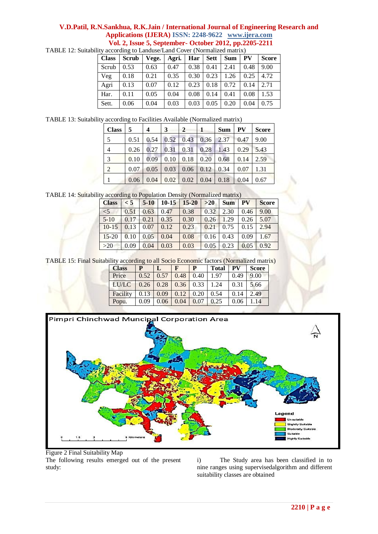| <b>Class</b> | <b>Scrub</b> | Vege. | Agri. | Har  | Sett | <b>Sum</b> | <b>PV</b> | <b>Score</b> |
|--------------|--------------|-------|-------|------|------|------------|-----------|--------------|
| Scrub        | 0.53         | 0.63  | 0.47  | 0.38 | 0.41 | 2.41       | 0.48      | 9.00         |
| Veg          | 0.18         | 0.21  | 0.35  | 0.30 | 0.23 | 1.26       | 0.25      | 4.72         |
| Agri         | 0.13         | 0.07  | 0.12  | 0.23 | 0.18 | 0.72       | 0.14      | 2.71         |
| Har.         | 0.11         | 0.05  | 0.04  | 0.08 | 0.14 | 0.41       | 0.08      | 1.53         |
| Sett.        | 0.06         | 0.04  | 0.03  | 0.03 | 0.05 | 0.20       | 0.04      | 0.75         |

TABLE 12: Suitability according to Landuse/Land Cover (Normalized matrix)

TABLE 13: Suitability according to Facilities Available (Normalized matrix)

| <b>Class</b>   | 5    | 4    | 3    | $\mathbf{2}$ | 1    | Sum  | PV   | <b>Score</b> |
|----------------|------|------|------|--------------|------|------|------|--------------|
| 5              | 0.51 | 0.54 | 0.52 | 0.43         | 0.36 | 2.37 | 0.47 | 9.00         |
| $\overline{4}$ | 0.26 | 0.27 | 0.31 | 0.31         | 0.28 | 1.43 | 0.29 | 5.43         |
| 3              | 0.10 | 0.09 | 0.10 | 0.18         | 0.20 | 0.68 | 0.14 | 2.59         |
| $\overline{2}$ | 0.07 | 0.05 | 0.03 | 0.06         | 0.12 | 0.34 | 0.07 | 1.31         |
|                | 0.06 | 0.04 | 0.02 | 0.02         | 0.04 | 0.18 | 0.04 | 0.67         |

TABLE 14: Suitability according to Population Density (Normalized matrix)

| <b>Class</b> | $\leq 5$ | $5-10$ | $10 - 15$ | $15 - 20$ | $>20$ | <b>Sum</b> | <b>PV</b> | <b>Score</b> |
|--------------|----------|--------|-----------|-----------|-------|------------|-----------|--------------|
| $<$ 5        | 0.51     | 0.63   | 0.47      | 0.38      | 0.32  | 2.30       | 0.46      | 9.00         |
| $5-10$       | 0.17     | 0.21   | 0.35      | 0.30      | 0.26  | 1.29       | 0.26      | 5.07         |
| $10 - 15$    | 0.13     | 0.07   | 0.12      | 0.23      | 0.21  | 0.75       | 0.15      | 2.94         |
| $15 - 20$    | 0.10     | 0.05   | 0.04      | 0.08      | 0.16  | 0.43       | 0.09      | 1.67         |
| $>20$        | 0.09     | 0.04   | 0.03      | 0.03      | 0.05  | 0.23       | 0.05      | 0.92         |

TABLE 15: Final Suitability according to all Socio Economic factors (Normalized matrix)

| <b>Class</b> |      |      | F    | P    | <b>Total</b> | <b>PV</b> | <b>Score</b> |
|--------------|------|------|------|------|--------------|-----------|--------------|
| Price        | 0.52 | 0.57 | 0.48 | 0.40 | 1.97         | 0.49      | 9.00         |
| LU/LC        | 0.26 | 0.28 | 0.36 | 0.33 | 1.24         | 0.31      | 5.66         |
| Facility     | 0.13 | 0.09 | 0.12 | 0.20 | 0.54         | 0.14      | 2.49         |
| Popu.        | 0.09 | 0.06 | 0.04 | 0.07 | 0.25         | 0.06      | 1.14         |



Figure 2 Final Suitability Map The following results emerged out of the present study:

i) The Study area has been classified in to nine ranges using supervisedalgorithm and different suitability classes are obtained